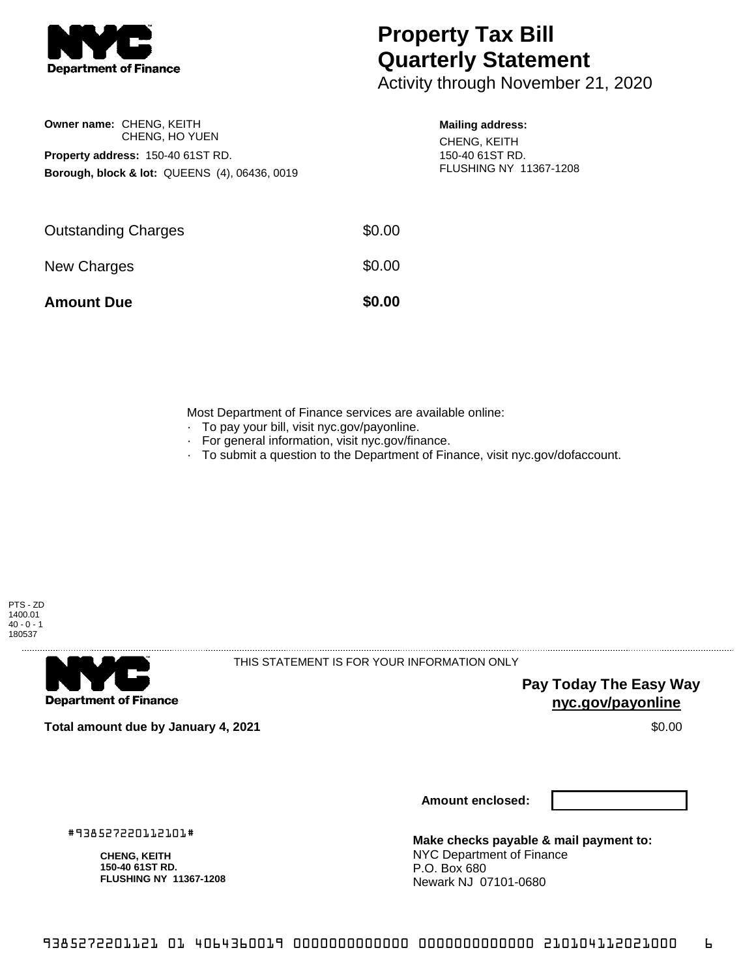

# **Property Tax Bill Quarterly Statement**

Activity through November 21, 2020

# **Owner name:** CHENG, KEITH CHENG, HO YUEN **Property address:** 150-40 61ST RD. **Borough, block & lot:** QUEENS (4), 06436, 0019

#### **Mailing address:**

CHENG, KEITH 150-40 61ST RD. FLUSHING NY 11367-1208

| <b>Amount Due</b>          | \$0.00 |
|----------------------------|--------|
| New Charges                | \$0.00 |
| <b>Outstanding Charges</b> | \$0.00 |

Most Department of Finance services are available online:

- · To pay your bill, visit nyc.gov/payonline.
- For general information, visit nyc.gov/finance.
- · To submit a question to the Department of Finance, visit nyc.gov/dofaccount.



**Department of Finance** 

THIS STATEMENT IS FOR YOUR INFORMATION ONLY

**Pay Today The Easy Way nyc.gov/payonline**

**Total amount due by January 4, 2021** \$0.00

**Amount enclosed:**

#938527220112101#

**CHENG, KEITH 150-40 61ST RD. FLUSHING NY 11367-1208**

**Make checks payable & mail payment to:** NYC Department of Finance P.O. Box 680 Newark NJ 07101-0680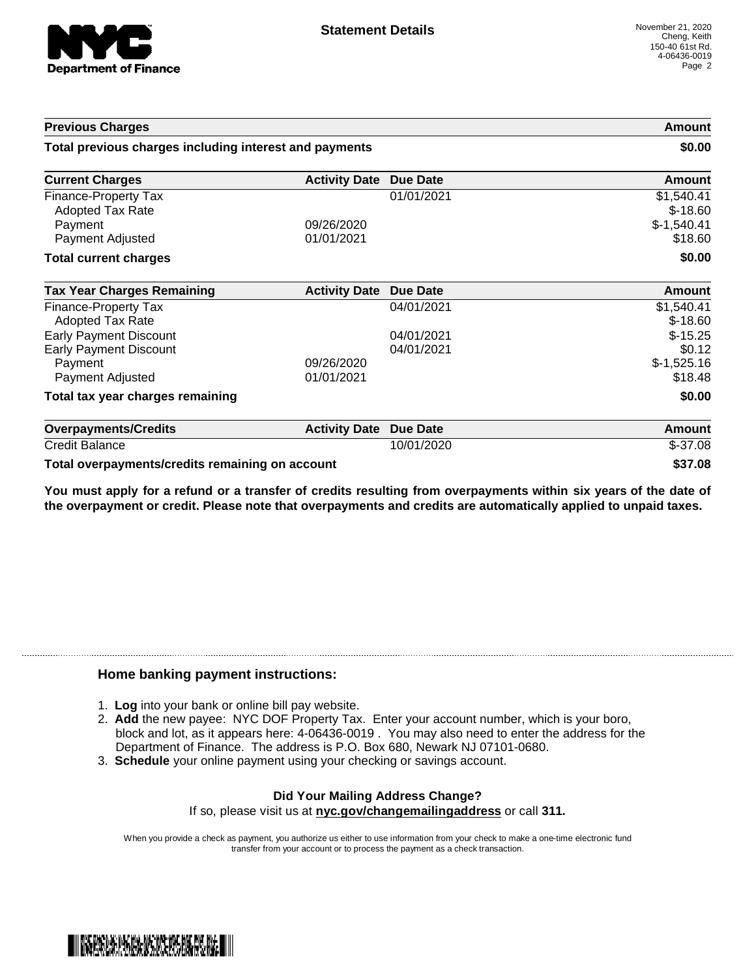

| <b>Previous Charges</b><br>Total previous charges including interest and payments |                      | Amount<br>\$0.00 |                                         |
|-----------------------------------------------------------------------------------|----------------------|------------------|-----------------------------------------|
|                                                                                   |                      |                  | <b>Current Charges</b>                  |
| <b>Finance-Property Tax</b><br><b>Adopted Tax Rate</b><br>Payment                 | 09/26/2020           | 01/01/2021       | \$1,540.41<br>$$-18.60$<br>$$-1,540.41$ |
| Payment Adjusted                                                                  | 01/01/2021           |                  | \$18.60                                 |
| <b>Total current charges</b>                                                      |                      |                  | \$0.00                                  |
| <b>Tax Year Charges Remaining</b>                                                 | <b>Activity Date</b> | Due Date         | <b>Amount</b>                           |
| Finance-Property Tax<br><b>Adopted Tax Rate</b>                                   |                      | 04/01/2021       | \$1,540.41<br>$$-18.60$                 |
| <b>Early Payment Discount</b>                                                     |                      | 04/01/2021       | $$-15.25$                               |
| <b>Early Payment Discount</b>                                                     |                      | 04/01/2021       | \$0.12                                  |
| Payment                                                                           | 09/26/2020           |                  | $$-1,525.16$                            |
| Payment Adjusted                                                                  | 01/01/2021           |                  | \$18.48                                 |
| Total tax year charges remaining                                                  |                      |                  | \$0.00                                  |
| <b>Overpayments/Credits</b>                                                       | <b>Activity Date</b> | <b>Due Date</b>  | Amount                                  |
| <b>Credit Balance</b>                                                             |                      | 10/01/2020       | $$-37.08$                               |

**Total overpayments/credits remaining on account \$37.08**

You must apply for a refund or a transfer of credits resulting from overpayments within six years of the date of **the overpayment or credit. Please note that overpayments and credits are automatically applied to unpaid taxes.**

## **Home banking payment instructions:**

- 1. **Log** into your bank or online bill pay website.
- 2. **Add** the new payee: NYC DOF Property Tax. Enter your account number, which is your boro, block and lot, as it appears here: 4-06436-0019 . You may also need to enter the address for the Department of Finance. The address is P.O. Box 680, Newark NJ 07101-0680.
- 3. **Schedule** your online payment using your checking or savings account.

### **Did Your Mailing Address Change?** If so, please visit us at **nyc.gov/changemailingaddress** or call **311.**

When you provide a check as payment, you authorize us either to use information from your check to make a one-time electronic fund transfer from your account or to process the payment as a check transaction.